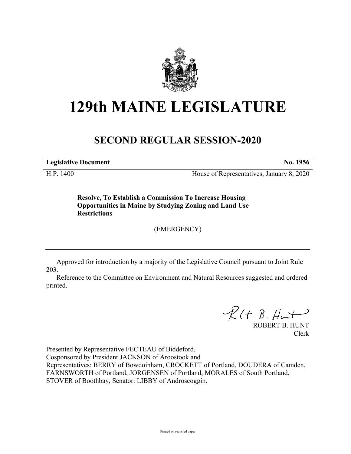

## **129th MAINE LEGISLATURE**

## **SECOND REGULAR SESSION-2020**

**Legislative Document No. 1956**

H.P. 1400 House of Representatives, January 8, 2020

**Resolve, To Establish a Commission To Increase Housing Opportunities in Maine by Studying Zoning and Land Use Restrictions**

(EMERGENCY)

Approved for introduction by a majority of the Legislative Council pursuant to Joint Rule 203.

Reference to the Committee on Environment and Natural Resources suggested and ordered printed.

 $R(H B. H<sup>u</sup>)$ 

ROBERT B. HUNT Clerk

Presented by Representative FECTEAU of Biddeford. Cosponsored by President JACKSON of Aroostook and Representatives: BERRY of Bowdoinham, CROCKETT of Portland, DOUDERA of Camden, FARNSWORTH of Portland, JORGENSEN of Portland, MORALES of South Portland, STOVER of Boothbay, Senator: LIBBY of Androscoggin.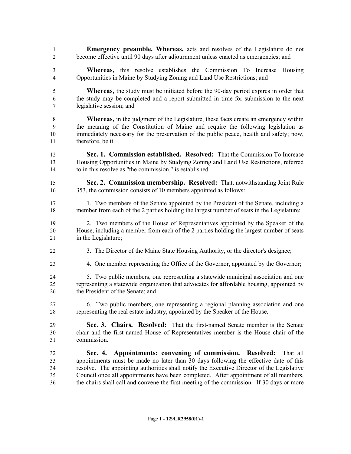- **Emergency preamble. Whereas,** acts and resolves of the Legislature do not become effective until 90 days after adjournment unless enacted as emergencies; and
- **Whereas,** this resolve establishes the Commission To Increase Housing Opportunities in Maine by Studying Zoning and Land Use Restrictions; and
- **Whereas,** the study must be initiated before the 90-day period expires in order that the study may be completed and a report submitted in time for submission to the next legislative session; and
- **Whereas,** in the judgment of the Legislature, these facts create an emergency within the meaning of the Constitution of Maine and require the following legislation as immediately necessary for the preservation of the public peace, health and safety; now, therefore, be it
- **Sec. 1. Commission established. Resolved:** That the Commission To Increase Housing Opportunities in Maine by Studying Zoning and Land Use Restrictions, referred to in this resolve as "the commission," is established.
- **Sec. 2. Commission membership. Resolved:** That, notwithstanding Joint Rule 353, the commission consists of 10 members appointed as follows:
- 1. Two members of the Senate appointed by the President of the Senate, including a member from each of the 2 parties holding the largest number of seats in the Legislature;
- 2. Two members of the House of Representatives appointed by the Speaker of the House, including a member from each of the 2 parties holding the largest number of seats 21 in the Legislature;
- 3. The Director of the Maine State Housing Authority, or the director's designee;
- 4. One member representing the Office of the Governor, appointed by the Governor;
- 5. Two public members, one representing a statewide municipal association and one representing a statewide organization that advocates for affordable housing, appointed by the President of the Senate; and
- 6. Two public members, one representing a regional planning association and one representing the real estate industry, appointed by the Speaker of the House.
- **Sec. 3. Chairs. Resolved:** That the first-named Senate member is the Senate chair and the first-named House of Representatives member is the House chair of the commission.
- **Sec. 4. Appointments; convening of commission. Resolved:** That all appointments must be made no later than 30 days following the effective date of this resolve. The appointing authorities shall notify the Executive Director of the Legislative Council once all appointments have been completed. After appointment of all members, the chairs shall call and convene the first meeting of the commission. If 30 days or more